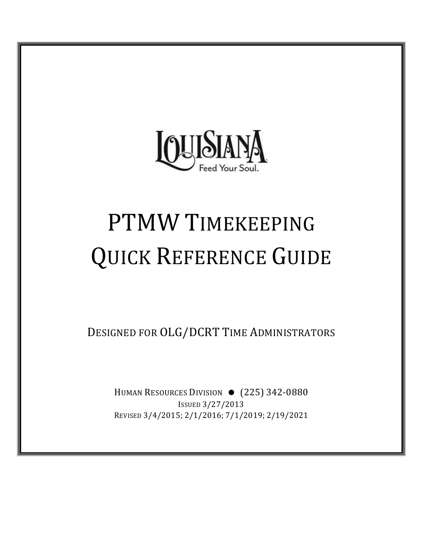

# PTMW TIMEKEEPING QUICK REFERENCE GUIDE

DESIGNED FOR OLG/DCRT TIME ADMINISTRATORS

HUMAN RESOURCES DIVISION • (225) 342-0880 ISSUED 3/27/2013 REVISED 3/4/2015; 2/1/2016; 7/1/2019; 2/19/2021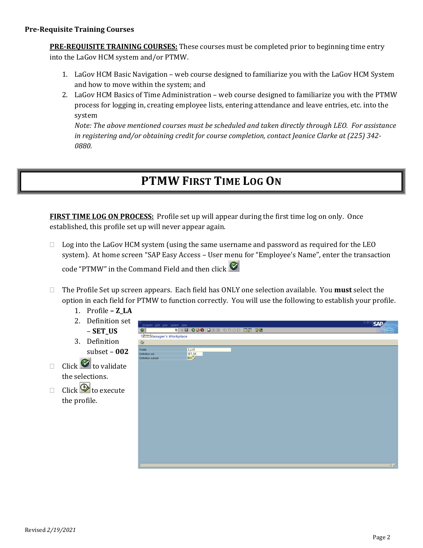**PRE‐REQUISITE TRAINING COURSES:** These courses must be completed prior to beginning time entry into the LaGov HCM system and/or PTMW.

- 1. LaGov HCM Basic Navigation web course designed to familiarize you with the LaGov HCM System and how to move within the system; and
- 2. LaGov HCM Basics of Time Administration web course designed to familiarize you with the PTMW process for logging in, creating employee lists, entering attendance and leave entries, etc. into the system

*Note: The above mentioned courses must be scheduled and taken directly through LEO. For assistance in registering and/or obtaining credit for course completion, contact Jeanice Clarke at (225) 342‐ 0880.*

# **PTMW FIRST TIME LOG ON**

**FIRST TIME LOG ON PROCESS:** Profile set up will appear during the first time log on only. Once established, this profile set up will never appear again.

 $\Box$  Log into the LaGov HCM system (using the same username and password as required for the LEO system). At home screen "SAP Easy Access – User menu for "Employee's Name", enter the transaction

code "PTMW" in the Command Field and then click

- The Profile Set up screen appears. Each field has ONLY one selection available. You **must** select the option in each field for PTMW to function correctly. You will use the following to establish your profile.
	- 1. Profile **– Z\_LA**
	- 2. Definition set – **SET\_US**
	- 3. Definition subset – **002**
- $\Box$  Click  $\bullet$  to validate the selections.
- $\Box$  Click  $\bigcircled{B}$  to execute the profile.

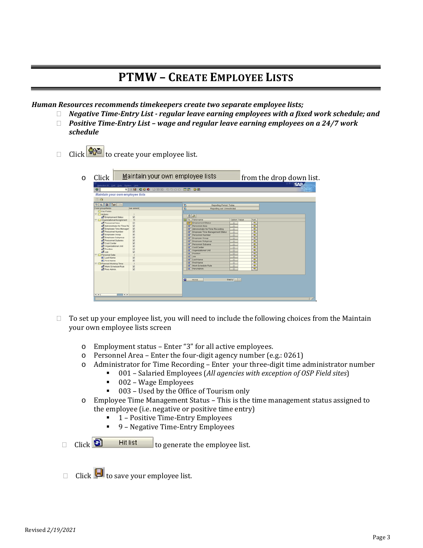# **PTMW – CREATE EMPLOYEE LISTS**

*Human Resources recommends timekeepers create two separate employee lists;*

- *Negative Time‐Entry List ‐ regular leave earning employees with a fixed work schedule; and*
- *Positive Time‐Entry List – wage and regular leave earning employees on a 24/7 work schedule*
- Click  $\left| \frac{\mathbf{G} \cdot \mathbf{G}}{\mathbf{G} \cdot \mathbf{G}} \right|$  to create your employee list.

| ø                                                                                                 | <b>1 4 8 6 6 6 8 10 11 12 13 13 14 15 16 17 18 18</b> |                                                    |
|---------------------------------------------------------------------------------------------------|-------------------------------------------------------|----------------------------------------------------|
| Maintain your own employee lists                                                                  |                                                       |                                                    |
| <b>10</b>                                                                                         |                                                       |                                                    |
| $\frac{1}{2}$ $\frac{1}{2}$ $\frac{1}{2}$ $\frac{1}{2}$ $\frac{1}{2}$ $\frac{1}{2}$ $\frac{1}{2}$ |                                                       | b<br>Reporting Period: Today                       |
| Field group/fields                                                                                | lue selecti                                           | ъ<br>Reporting set Unrestricted                    |
| C Key Fields                                                                                      |                                                       |                                                    |
| $\nabla$ $\Box$ Actions<br><b>not</b> Employment Status                                           | $\overline{\mathbf{r}}$                               | 06                                                 |
| Organizational Assignment                                                                         | 11                                                    | <b>TRITe</b> Field name<br>Option Value<br>Furt.   |
| not Personnel Area                                                                                | ø                                                     | रू<br>F Employment Status<br>$\Diamond$            |
| rett Administrator for Time Rd                                                                    | $\overline{a}$                                        | ₹<br>F Personnel Area<br>$\circ$                   |
| red Employee Time Manager                                                                         | $\boxtimes$                                           | <br>[+ Administrator for Time Recording<br>$\circ$ |
| no Personnel Number                                                                               | $\overline{\mathbf{z}}$                               | [+] Employee Time Management Status<br>$\circ$     |
| re <sup>nt</sup> Employee Oroup                                                                   | ø                                                     | F Personnel Number<br>$\circ$                      |
| <b>DE</b> Employee Subgroup<br>n <sup>o</sup> Personnel Subarea                                   | 232                                                   | F Employee Group<br>$\circ$                        |
| <b>nd</b> Cost Center                                                                             |                                                       | F Employee Subgroup<br>$\circ$                     |
| GO Organizational Unit                                                                            |                                                       | F Personnel Subarea<br>$\circ$                     |
| red Position                                                                                      | $\overline{v}$                                        | <b>F</b> Cost Center<br>$\circ$                    |
| dol. By                                                                                           | $\overline{\mathbf{z}}$                               | [+ Organizational Unit<br>$\circ$                  |
| Personal Data                                                                                     | $\overline{2}$                                        | F Position<br>$\circ$                              |
| E Last Name                                                                                       | ø                                                     | $F = 300$<br>$\circ$                               |
| <b>E</b> First Name                                                                               | $\overline{v}$                                        | <b>F</b> Last Name<br>$\circ$                      |
| <sup>17</sup> C Planned Working Time                                                              | $\overline{2}$                                        | <b>F</b> First Name<br>$\circ$                     |
| <b>DE</b> Work Schedule Rule                                                                      | $\overline{z}$                                        | [+] Work Schedule Rule<br>$\circ$                  |
| pl Pers Admin.                                                                                    | $\overline{\mathbf{w}}$                               | [+ Pers Admin.<br>$\circ$                          |
|                                                                                                   |                                                       | Eapty Gri III<br>m<br><b>Hit list</b>              |

- $\Box$  To set up your employee list, you will need to include the following choices from the Maintain your own employee lists screen
	- o Employment status Enter "3" for all active employees.
	- o Personnel Area Enter the four-digit agency number (e.g.: 0261)
	- o Administrator for Time Recording Enter your three-digit time administrator number
		- 001 Salaried Employees (*All agencies with exception of OSP Field sites*)
			- 002 Wage Employees
			- 003 Used by the Office of Tourism only
	- o Employee Time Management Status This is the time management status assigned to the employee (i.e. negative or positive time entry)
		- 1 Positive Time-Entry Employees
		- 9 Negative Time-Entry Employees
	- $\Box$  Click  $\Box$  Hit list to generate the employee list.

Click  $\Box$  to save your employee list.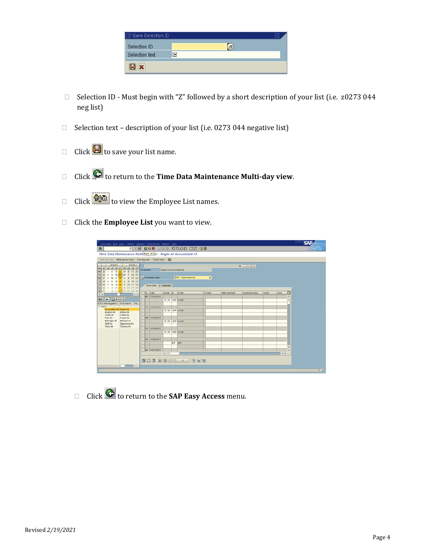| Save Selection ID |   |   |  |
|-------------------|---|---|--|
| Selection ID      |   | a |  |
| Selection text    | 区 |   |  |
| $\bullet$         |   |   |  |

- $\Box$  Selection ID Must begin with "Z" followed by a short description of your list (i.e. z0273 044 neg list)
- $\Box$  Selection text description of your list (i.e. 0273 044 negative list)
- $\Box$  Click  $\Box$  to save your list name.
- Click to return to the **Time Data Maintenance Multi‐day view**.
- Click  $\frac{1}{\sqrt{2}}$  to view the Employee List names.
- Click the **Employee List** you want to view.

| Time data Edit Ooto Utilities Settings Environment System Help      |                      |                        |                             |                         |                 |       |                     | 山岡区<br><b>SAP</b> |
|---------------------------------------------------------------------|----------------------|------------------------|-----------------------------|-------------------------|-----------------|-------|---------------------|-------------------|
| ø                                                                   |                      |                        |                             |                         |                 |       |                     |                   |
| Time Data Maintenance Multi-Back (F3) v - Angie-44 Accountant-44    |                      |                        |                             |                         |                 |       |                     |                   |
| Multi-dayview Multi-person view One-dayview Team View Q             |                      |                        |                             |                         |                 |       |                     |                   |
| 2010/11<br>2010/12                                                  |                      |                        |                             |                         | 2251            |       |                     |                   |
| WN 43 44 45 46 47 48 49 50 51<br>1 8 15 22 29 6 13 20<br>MO 25      | Employee             | Angle-44 Accountant-44 |                             |                         |                 |       |                     |                   |
| TU 26<br>2 9 16 23 30 7 14 21                                       |                      |                        |                             |                         |                 |       |                     |                   |
| 3 10 17 24 1 8 15 22<br><b>WE 27</b><br>TH 28<br>$25 - 2$<br>16, 23 | Employee data        |                        | <b>D001: Organizational</b> | $\hfill \Box$           |                 |       |                     |                   |
| 5 12 19 26 3 10 17 24<br>FR 29                                      | Time Data Calendar   |                        |                             |                         |                 |       |                     |                   |
| 6 13 20 27 4 11 18 25<br><b>SA</b> 30                               |                      |                        |                             |                         |                 |       |                     |                   |
| SU 31 7 14 21 28 5 12 19 26<br>$\bullet$<br>$\sqrt{1}$              | Iw. Date             | Durati ID ID text      |                             | F. Order<br>WBS element | Functional Area | Grant | α<br>Fund           |                   |
| <b>MIBRICE</b><br>200                                               | MO 11/22/2010        | 18.88 18HR 10 HR       |                             |                         |                 |       | $\blacksquare$<br>٠ |                   |
| 0273 044 negative L. First Name Pe.                                 |                      |                        |                             |                         |                 |       |                     |                   |
| $= 0273$                                                            | TU 11/23/2010        |                        |                             |                         |                 |       |                     |                   |
| Accountant-44 Angie-44<br>Arthur-44<br>Analyst-44                   |                      | 10.00 10HR 10HR        |                             |                         |                 |       |                     |                   |
| Clerk-44<br>Carla-44<br>Filer-44<br>Farah-44                        | <b>ME 11/24/2010</b> |                        |                             |                         |                 |       |                     |                   |
| Michael-44<br>Manager-44                                            |                      | 10.08 10HR 10HR        |                             |                         |                 |       |                     |                   |
| $StuS-44$<br>Stephanie-44<br>Tech-44<br>Tommy-44                    |                      |                        |                             |                         |                 |       |                     |                   |
|                                                                     | TH 11/25/2010        | 10.00 10HR 10HR        |                             |                         |                 |       |                     |                   |
|                                                                     |                      |                        |                             |                         |                 |       |                     |                   |
|                                                                     | FR 11/26/2010        |                        |                             |                         |                 |       |                     |                   |
|                                                                     |                      | OFF OFF                |                             |                         |                 |       |                     |                   |
|                                                                     | SA 11/27/2010        |                        |                             |                         |                 |       | ٠<br>٠              |                   |
|                                                                     |                      | $\bullet$              |                             |                         |                 |       | $\bullet$           |                   |
|                                                                     |                      |                        |                             |                         |                 |       |                     |                   |
|                                                                     |                      |                        | <b>CODAO DE A BAD</b>       |                         |                 |       |                     |                   |
| $\bullet$                                                           |                      |                        |                             |                         |                 |       |                     |                   |
|                                                                     |                      |                        |                             |                         |                 |       |                     | $\frac{1}{2}$     |

Click to return to the **SAP Easy Access** menu.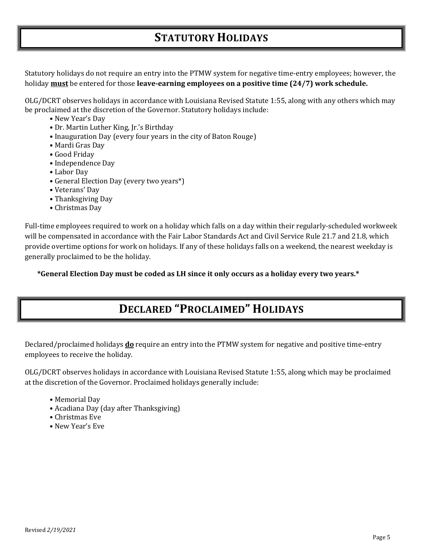# **STATUTORY HOLIDAYS**

Statutory holidays do not require an entry into the PTMW system for negative time-entry employees; however, the holiday **must** be entered for those **leave‐earning employees on a positive time (24/7) work schedule.**

OLG/DCRT observes holidays in accordance with Louisiana Revised Statute 1:55, along with any others which may be proclaimed at the discretion of the Governor. Statutory holidays include:

- New Year's Day
- Dr. Martin Luther King, Jr.'s Birthday
- Inauguration Day (every four years in the city of Baton Rouge)
- Mardi Gras Day
- Good Friday
- Independence Day
- Labor Day
- General Election Day (every two years\*)
- Veterans' Day
- Thanksgiving Day
- Christmas Day

Full-time employees required to work on a holiday which falls on a day within their regularly-scheduled workweek will be compensated in accordance with the Fair Labor Standards Act and Civil Service Rule 21.7 and 21.8, which provide overtime options for work on holidays. If any of these holidays falls on a weekend, the nearest weekday is generally proclaimed to be the holiday.

**\*General Election Day must be coded as LH since it only occurs as a holiday every two years.\***

# **DECLARED "PROCLAIMED" HOLIDAYS**

Declared/proclaimed holidays **do** require an entry into the PTMW system for negative and positive time-entry employees to receive the holiday.

OLG/DCRT observes holidays in accordance with Louisiana Revised Statute 1:55, along which may be proclaimed at the discretion of the Governor. Proclaimed holidays generally include:

- Memorial Day
- Acadiana Day (day after Thanksgiving)
- Christmas Eve
- New Year's Eve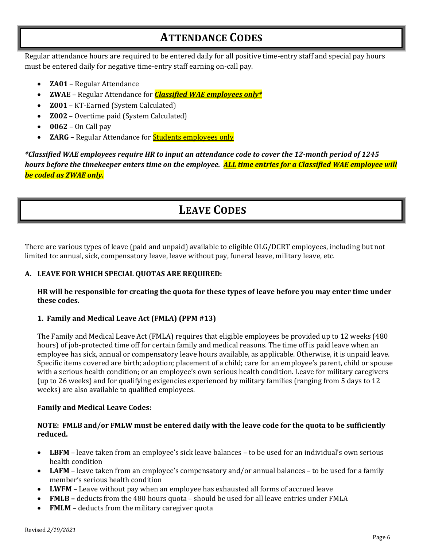# **ATTENDANCE CODES**

Regular attendance hours are required to be entered daily for all positive time-entry staff and special pay hours must be entered daily for negative time-entry staff earning on-call pay.

- **ZA01** Regular Attendance
- **ZWAE** Regular Attendance for *Classified WAE employees only\**
- **Z001** KT-Earned (System Calculated)
- **Z002** Overtime paid (System Calculated)
- **0062** On Call pay
- **ZARG** Regular Attendance for **Students employees only**

classified WAE employees require HR to input an attendance code to cover the 12-month period of 1245\* hours before the timekeeper enters time on the employee. ALL time entries for a Classified WAE employee will *be coded as ZWAE only.*

# **LEAVE CODES**

There are various types of leave (paid and unpaid) available to eligible OLG/DCRT employees, including but not limited to: annual, sick, compensatory leave, leave without pay, funeral leave, military leave, etc.

# **A. LEAVE FOR WHICH SPECIAL QUOTAS ARE REQUIRED:**

## HR will be responsible for creating the quota for these types of leave before you may enter time under **these codes**.

# **1. Family and Medical Leave Act (FMLA) (PPM #13)**

The Family and Medical Leave Act (FMLA) requires that eligible employees be provided up to 12 weeks (480 hours) of job-protected time off for certain family and medical reasons. The time off is paid leave when an employee has sick, annual or compensatory leave hours available, as applicable. Otherwise, it is unpaid leave. Specific items covered are birth; adoption; placement of a child; care for an employee's parent, child or spouse with a serious health condition; or an employee's own serious health condition. Leave for military caregivers (up to 26 weeks) and for qualifying exigencies experienced by military families (ranging from 5 days to 12 weeks) are also available to qualified employees.

# **Family and Medical Leave Codes:**

## NOTE: FMLB and/or FMLW must be entered daily with the leave code for the quota to be sufficiently **reduced.**

- **LBFM** leave taken from an employee's sick leave balances to be used for an individual's own serious health condition
- **LAFM** leave taken from an employee's compensatory and/or annual balances to be used for a family member's serious health condition
- **LWFM –** Leave without pay when an employee has exhausted all forms of accrued leave
- **FMLB –** deducts from the 480 hours quota should be used for all leave entries under FMLA
- **FMLM** deducts from the military caregiver quota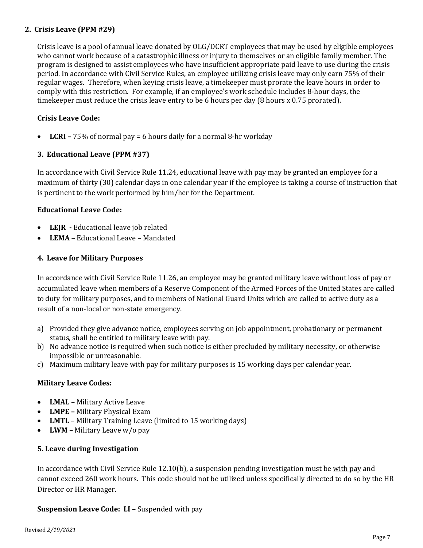## **2. Crisis Leave (PPM #29)**

Crisis leave is a pool of annual leave donated by OLG/DCRT employees that may be used by eligible employees who cannot work because of a catastrophic illness or injury to themselves or an eligible family member. The program is designed to assist employees who have insufficient appropriate paid leave to use during the crisis period. In accordance with Civil Service Rules, an employee utilizing crisis leave may only earn 75% of their regular wages. Therefore, when keying crisis leave, a timekeeper must prorate the leave hours in order to comply with this restriction. For example, if an employee's work schedule includes 8-hour days, the timekeeper must reduce the crisis leave entry to be 6 hours per day (8 hours x 0.75 prorated).

## **Crisis Leave Code:**

**LCRI –** 75% of normal pay = 6 hours daily for a normal 8-hr workday

## **3. Educational Leave (PPM #37)**

In accordance with Civil Service Rule 11.24, educational leave with pay may be granted an employee for a maximum of thirty (30) calendar days in one calendar year if the employee is taking a course of instruction that is pertinent to the work performed by him/her for the Department.

## **Educational Leave Code:**

- **LEJR** Educational leave job related
- **LEMA –** Educational Leave Mandated

#### **4. Leave for Military Purposes**

In accordance with Civil Service Rule 11.26, an employee may be granted military leave without loss of pay or accumulated leave when members of a Reserve Component of the Armed Forces of the United States are called to duty for military purposes, and to members of National Guard Units which are called to active duty as a result of a non-local or non-state emergency.

- a) Provided they give advance notice, employees serving on job appointment, probationary or permanent status, shall be entitled to military leave with pay.
- b) No advance notice is required when such notice is either precluded by military necessity, or otherwise impossible or unreasonable.
- c) Maximum military leave with pay for military purposes is 15 working days per calendar year.

#### **Military Leave Codes:**

- **LMAL –** Military Active Leave
- **LMPE –** Military Physical Exam
- **LMTL** Military Training Leave (limited to 15 working days)
- **LWM** Military Leave w/o pay

#### **5. Leave during Investigation**

In accordance with Civil Service Rule 12.10(b), a suspension pending investigation must be with pay and cannot exceed 260 work hours. This code should not be utilized unless specifically directed to do so by the HR Director or HR Manager.

#### **Suspension Leave Code: LI –** Suspended with pay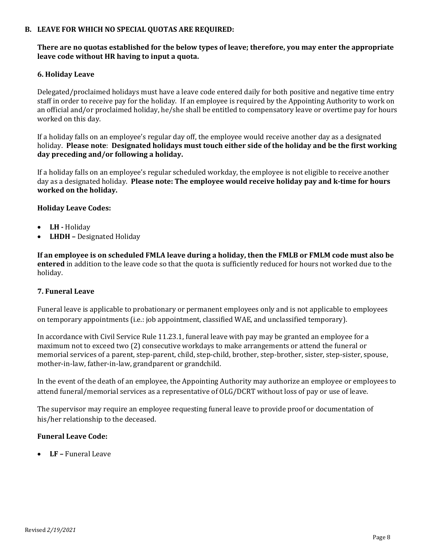#### **B. LEAVE FOR WHICH NO SPECIAL QUOTAS ARE REQUIRED:**

# **There are no quotas established for the below types of leave; therefore, you may enter the appropriate leave code without HR having to input a quota.**

## **6. Holiday** Leave

Delegated/proclaimed holidays must have a leave code entered daily for both positive and negative time entry staff in order to receive pay for the holiday. If an employee is required by the Appointing Authority to work on an official and/or proclaimed holiday, he/she shall be entitled to compensatory leave or overtime pay for hours worked on this day.

If a holiday falls on an employee's regular day off, the employee would receive another day as a designated holiday. **Please note**: **Designated holidays must touch either side of the holiday and be the first working day preceding and/or following a holiday.**

If a holiday falls on an employee's regular scheduled workday, the employee is not eligible to receive another day as a designated holiday. **Please note: The employee would receive holiday pay and k‐time for hours worked on the holiday.**

## **Holiday Leave Codes:**

- **LH** Holiday
- **LHDH –** Designated Holiday

If an employee is on scheduled FMLA leave during a holiday, then the FMLB or FMLM code must also be **entered** in addition to the leave code so that the quota is sufficiently reduced for hours not worked due to the holiday.

#### **7. Funeral Leave**

Funeral leave is applicable to probationary or permanent employees only and is not applicable to employees on temporary appointments (i.e.: job appointment, classified WAE, and unclassified temporary).

In accordance with Civil Service Rule 11.23.1, funeral leave with pay may be granted an employee for a maximum not to exceed two (2) consecutive workdays to make arrangements or attend the funeral or memorial services of a parent, step-parent, child, step-child, brother, step-brother, sister, step-sister, spouse, mother-in-law, father-in-law, grandparent or grandchild.

In the event of the death of an employee, the Appointing Authority may authorize an employee or employees to attend funeral/memorial services as a representative of OLG/DCRT without loss of pay or use of leave.

The supervisor may require an employee requesting funeral leave to provide proof or documentation of his/her relationship to the deceased.

#### **Funeral Leave Code:**

**LF –** Funeral Leave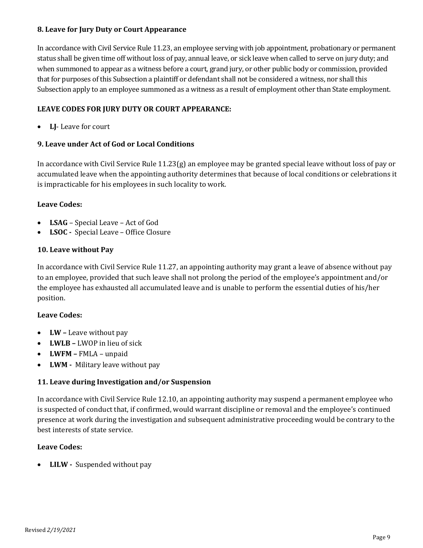## **8. Leave for Jury Duty or Court Appearance**

In accordance with Civil Service Rule 11.23, an employee serving with job appointment, probationary or permanent status shall be given time off without loss of pay, annual leave, or sick leave when called to serve on jury duty; and when summoned to appear as a witness before a court, grand jury, or other public body or commission, provided that for purposes of this Subsection a plaintiff or defendant shall not be considered a witness, nor shall this Subsection apply to an employee summoned as a witness as a result of employment other than State employment.

# **LEAVE CODES FOR JURY DUTY OR COURT APPEARANCE:**

**LJ**- Leave for court

# **9. Leave under Act of God or Local Conditions**

In accordance with Civil Service Rule 11.23(g) an employee may be granted special leave without loss of pay or accumulated leave when the appointing authority determines that because of local conditions or celebrations it is impracticable for his employees in such locality to work.

# **Leave Codes:**

- **LSAG** Special Leave Act of God
- LSOC Special Leave Office Closure

## **10. Leave without Pay**

In accordance with Civil Service Rule 11.27, an appointing authority may grant a leave of absence without pay to an employee, provided that such leave shall not prolong the period of the employee's appointment and/or the employee has exhausted all accumulated leave and is unable to perform the essential duties of his/her position.

# **Leave Codes:**

- **LW –** Leave without pay
- **LWLB –** LWOP in lieu of sick
- **LWFM –** FMLA unpaid
- **LWM** Military leave without pay

# **11. Leave during Investigation and/or Suspension**

In accordance with Civil Service Rule 12.10, an appointing authority may suspend a permanent employee who is suspected of conduct that, if confirmed, would warrant discipline or removal and the employee's continued presence at work during the investigation and subsequent administrative proceeding would be contrary to the best interests of state service.

# **Leave Codes:**

**LILW** - Suspended without pay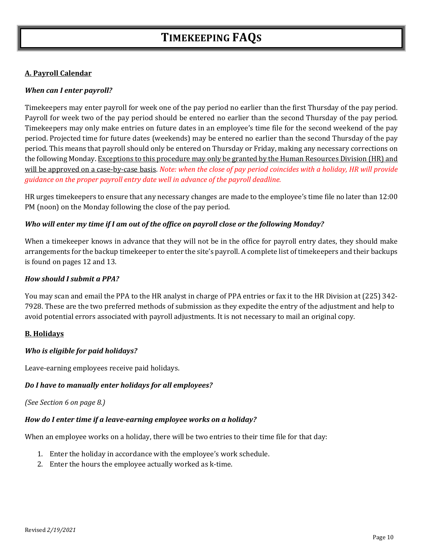# **A. Payroll Calendar**

## *When can I enter payroll?*

Timekeepers may enter payroll for week one of the pay period no earlier than the first Thursday of the pay period. Payroll for week two of the pay period should be entered no earlier than the second Thursday of the pay period. Timekeepers may only make entries on future dates in an employee's time file for the second weekend of the pay period. Projected time for future dates (weekends) may be entered no earlier than the second Thursday of the pay period. This means that payroll should only be entered on Thursday or Friday, making any necessary corrections on the following Monday. Exceptions to this procedure may only be granted by the Human Resources Division (HR) and will be approved on a case-by-case basis. *Note: when the close of pay period coincides with a holiday, HR will provide guidance on the proper payroll entry date well in advance of the payroll deadline.*

HR urges timekeepers to ensure that any necessary changes are made to the employee's time file no later than 12:00 PM (noon) on the Monday following the close of the pay period.

## *Who will enter my time if I am out of the office on payroll close or the following Monday?*

When a timekeeper knows in advance that they will not be in the office for payroll entry dates, they should make arrangements for the backup timekeeper to enter the site's payroll. A complete list of timekeepers and their backups is found on pages 12 and 13.

## *How should I submit a PPA?*

You may scan and email the PPA to the HR analyst in charge of PPA entries or fax it to the HR Division at (225) 342- 7928. These are the two preferred methods of submission as they expedite the entry of the adjustment and help to avoid potential errors associated with payroll adjustments. It is not necessary to mail an original copy.

# **B. Holidays**

#### *Who is eligible for paid holidays?*

Leave-earning employees receive paid holidays.

# *Do I have to manually enter holidays for all employees?*

*(See Section 6 on page 8.)*

#### *How do I enter time if a leave‐earning employee works on a holiday?*

When an employee works on a holiday, there will be two entries to their time file for that day:

- 1. Enter the holiday in accordance with the employee's work schedule.
- 2. Enter the hours the employee actually worked as k-time.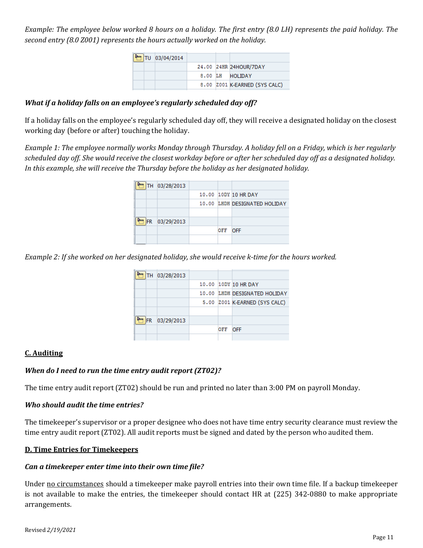Example: The employee below worked 8 hours on a holiday. The first entry (8.0 LH) represents the paid holiday. The *second entry (8.0 Z001) represents the hours actually worked on the holiday.*

| TU 03/04/2014 |  |                               |
|---------------|--|-------------------------------|
|               |  | 24.00 24HR 24HOUR/7DAY        |
|               |  | 8.00 LH HOITDAY               |
|               |  | 8.00 Z001 K-EARNED (SYS CALC) |

# *What if a holiday falls on an employee's regularly scheduled day off?*

If a holiday falls on the employee's regularly scheduled day off, they will receive a designated holiday on the closest working day (before or after) touching the holiday.

Example 1: The employee normally works Monday through Thursday. A holiday fell on a Friday, which is her regularly scheduled day off. She would receive the closest workday before or after her scheduled day off as a designated holiday. *In this example, she will receive the Thursday before the holiday as her designated holiday.* 

| TH 03/28/2013 |     |                               |
|---------------|-----|-------------------------------|
|               |     | 10.00 10DY 10 HR DAY          |
|               |     | 10.00 LHDH DESIGNATED HOLIDAY |
|               |     |                               |
| FR 03/29/2013 |     |                               |
|               | OFF | <b>OFF</b>                    |
|               |     |                               |

Example 2: If she worked on her designated holiday, she would receive k-time for the hours worked.

|    | TH 03/28/2013 |     |                               |
|----|---------------|-----|-------------------------------|
|    |               |     | 10.00 10DY 10 HR DAY          |
|    |               |     | 10.00 LHDH DESIGNATED HOLIDAY |
|    |               |     | 5.00 Z001 K-EARNED (SYS CALC) |
|    |               |     |                               |
| FR | 03/29/2013    |     |                               |
|    |               | OFF | <b>OFF</b>                    |
|    |               |     |                               |

#### **C. Auditing**

#### *When do I need to run the time entry audit report (ZT02)?*

The time entry audit report (ZT02) should be run and printed no later than 3:00 PM on payroll Monday.

#### *Who should audit the time entries?*

The timekeeper's supervisor or a proper designee who does not have time entry security clearance must review the time entry audit report (ZT02). All audit reports must be signed and dated by the person who audited them.

#### **D. Time Entries for Timekeepers**

#### *Can a timekeeper enter time into their own time file?*

Under no circumstances should a timekeeper make payroll entries into their own time file. If a backup timekeeper is not available to make the entries, the timekeeper should contact HR at (225) 342-0880 to make appropriate arrangements.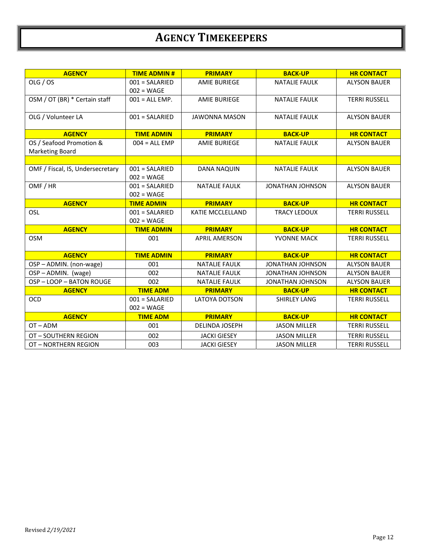# **AGENCY TIMEKEEPERS**

| <b>AGENCY</b>                    | <b>TIME ADMIN#</b> | <b>PRIMARY</b>          | <b>BACK-UP</b>          | <b>HR CONTACT</b>    |
|----------------------------------|--------------------|-------------------------|-------------------------|----------------------|
| OLG / OS                         | 001 = SALARIED     | <b>AMIE BURIEGE</b>     | <b>NATALIE FAULK</b>    | <b>ALYSON BAUER</b>  |
|                                  | $002 = WAGE$       |                         |                         |                      |
| OSM / OT (BR) * Certain staff    | $001 = ALL EMP$ .  | <b>AMIE BURIEGE</b>     | <b>NATALIE FAULK</b>    | <b>TERRI RUSSELL</b> |
|                                  |                    |                         |                         |                      |
| OLG / Volunteer LA               | $001 = SALARIED$   | <b>JAWONNA MASON</b>    | <b>NATALIE FAULK</b>    | <b>ALYSON BAUER</b>  |
|                                  |                    |                         |                         |                      |
| <b>AGENCY</b>                    | <b>TIME ADMIN</b>  | <b>PRIMARY</b>          | <b>BACK-UP</b>          | <b>HR CONTACT</b>    |
| OS / Seafood Promotion &         | $004 = ALL EMP$    | <b>AMIE BURIEGE</b>     | <b>NATALIE FAULK</b>    | <b>ALYSON BAUER</b>  |
| <b>Marketing Board</b>           |                    |                         |                         |                      |
|                                  |                    |                         |                         |                      |
| OMF / Fiscal, IS, Undersecretary | $001 = SALARIED$   | <b>DANA NAQUIN</b>      | <b>NATALIE FAULK</b>    | <b>ALYSON BAUER</b>  |
|                                  | $002 = WAGE$       |                         |                         |                      |
| OMF / HR                         | $001 = SALARIED$   | <b>NATALIE FAULK</b>    | <b>JONATHAN JOHNSON</b> | <b>ALYSON BAUER</b>  |
|                                  | $002 = WAGE$       |                         |                         |                      |
| <b>AGENCY</b>                    | <b>TIME ADMIN</b>  | <b>PRIMARY</b>          | <b>BACK-UP</b>          | <b>HR CONTACT</b>    |
| OSL                              | $001 = SALARIED$   | <b>KATIE MCCLELLAND</b> | <b>TRACY LEDOUX</b>     | <b>TERRI RUSSELL</b> |
|                                  | $002 = WAGE$       |                         |                         |                      |
| <b>AGENCY</b>                    | <b>TIME ADMIN</b>  | <b>PRIMARY</b>          | <b>BACK-UP</b>          | <b>HR CONTACT</b>    |
| <b>OSM</b>                       | 001                | <b>APRIL AMERSON</b>    | YVONNE MACK             | <b>TERRI RUSSELL</b> |
|                                  |                    |                         |                         |                      |
| <b>AGENCY</b>                    | <b>TIME ADMIN</b>  | <b>PRIMARY</b>          | <b>BACK-UP</b>          | <b>HR CONTACT</b>    |
| OSP-ADMIN. (non-wage)            | 001                | <b>NATALIE FAULK</b>    | <b>JONATHAN JOHNSON</b> | <b>ALYSON BAUER</b>  |
| OSP-ADMIN. (wage)                | 002                | <b>NATALIE FAULK</b>    | <b>JONATHAN JOHNSON</b> | <b>ALYSON BAUER</b>  |
| OSP-LOOP-BATON ROUGE             | 002                | <b>NATALIE FAULK</b>    | JONATHAN JOHNSON        | <b>ALYSON BAUER</b>  |
| <b>AGENCY</b>                    | <b>TIME ADM</b>    | <b>PRIMARY</b>          | <b>BACK-UP</b>          | <b>HR CONTACT</b>    |
| <b>OCD</b>                       | $001 = SALARIED$   | <b>LATOYA DOTSON</b>    | <b>SHIRLEY LANG</b>     | <b>TERRI RUSSELL</b> |
|                                  | $002 = WAGE$       |                         |                         |                      |
| <b>AGENCY</b>                    | <b>TIME ADM</b>    | <b>PRIMARY</b>          | <b>BACK-UP</b>          | <b>HR CONTACT</b>    |
| $OT - ADM$                       | 001                | <b>DELINDA JOSEPH</b>   | <b>JASON MILLER</b>     | <b>TERRI RUSSELL</b> |
| OT-SOUTHERN REGION               | 002                | <b>JACKI GIESEY</b>     | <b>JASON MILLER</b>     | <b>TERRI RUSSELL</b> |
| OT - NORTHERN REGION             | 003                | <b>JACKI GIESEY</b>     | <b>JASON MILLER</b>     | <b>TERRI RUSSELL</b> |